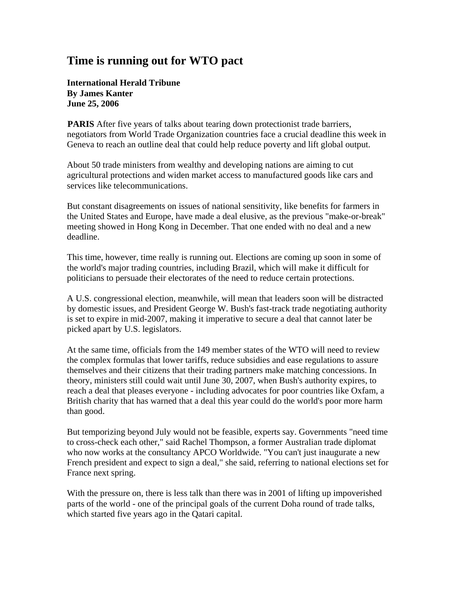## **Time is running out for WTO pact**

**International Herald Tribune By James Kanter June 25, 2006** 

**PARIS** After five years of talks about tearing down protectionist trade barriers, negotiators from World Trade Organization countries face a crucial deadline this week in Geneva to reach an outline deal that could help reduce poverty and lift global output.

About 50 trade ministers from wealthy and developing nations are aiming to cut agricultural protections and widen market access to manufactured goods like cars and services like telecommunications.

But constant disagreements on issues of national sensitivity, like benefits for farmers in the United States and Europe, have made a deal elusive, as the previous "make-or-break" meeting showed in Hong Kong in December. That one ended with no deal and a new deadline.

This time, however, time really is running out. Elections are coming up soon in some of the world's major trading countries, including Brazil, which will make it difficult for politicians to persuade their electorates of the need to reduce certain protections.

A U.S. congressional election, meanwhile, will mean that leaders soon will be distracted by domestic issues, and President George W. Bush's fast-track trade negotiating authority is set to expire in mid-2007, making it imperative to secure a deal that cannot later be picked apart by U.S. legislators.

At the same time, officials from the 149 member states of the WTO will need to review the complex formulas that lower tariffs, reduce subsidies and ease regulations to assure themselves and their citizens that their trading partners make matching concessions. In theory, ministers still could wait until June 30, 2007, when Bush's authority expires, to reach a deal that pleases everyone - including advocates for poor countries like Oxfam, a British charity that has warned that a deal this year could do the world's poor more harm than good.

But temporizing beyond July would not be feasible, experts say. Governments "need time to cross-check each other," said Rachel Thompson, a former Australian trade diplomat who now works at the consultancy APCO Worldwide. "You can't just inaugurate a new French president and expect to sign a deal," she said, referring to national elections set for France next spring.

With the pressure on, there is less talk than there was in 2001 of lifting up impoverished parts of the world - one of the principal goals of the current Doha round of trade talks, which started five years ago in the Qatari capital.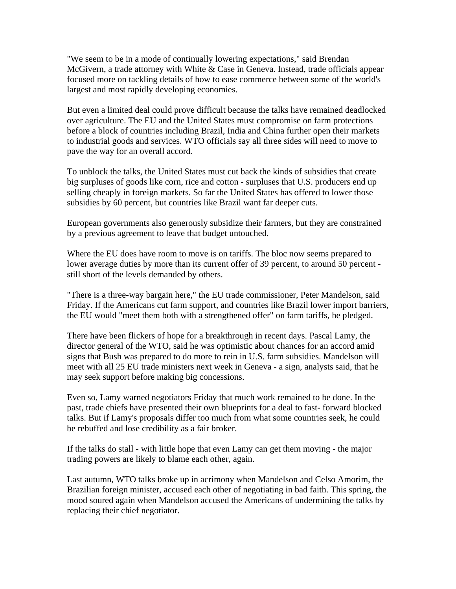"We seem to be in a mode of continually lowering expectations," said Brendan McGivern, a trade attorney with White & Case in Geneva. Instead, trade officials appear focused more on tackling details of how to ease commerce between some of the world's largest and most rapidly developing economies.

But even a limited deal could prove difficult because the talks have remained deadlocked over agriculture. The EU and the United States must compromise on farm protections before a block of countries including Brazil, India and China further open their markets to industrial goods and services. WTO officials say all three sides will need to move to pave the way for an overall accord.

To unblock the talks, the United States must cut back the kinds of subsidies that create big surpluses of goods like corn, rice and cotton - surpluses that U.S. producers end up selling cheaply in foreign markets. So far the United States has offered to lower those subsidies by 60 percent, but countries like Brazil want far deeper cuts.

European governments also generously subsidize their farmers, but they are constrained by a previous agreement to leave that budget untouched.

Where the EU does have room to move is on tariffs. The bloc now seems prepared to lower average duties by more than its current offer of 39 percent, to around 50 percent still short of the levels demanded by others.

"There is a three-way bargain here," the EU trade commissioner, Peter Mandelson, said Friday. If the Americans cut farm support, and countries like Brazil lower import barriers, the EU would "meet them both with a strengthened offer" on farm tariffs, he pledged.

There have been flickers of hope for a breakthrough in recent days. Pascal Lamy, the director general of the WTO, said he was optimistic about chances for an accord amid signs that Bush was prepared to do more to rein in U.S. farm subsidies. Mandelson will meet with all 25 EU trade ministers next week in Geneva - a sign, analysts said, that he may seek support before making big concessions.

Even so, Lamy warned negotiators Friday that much work remained to be done. In the past, trade chiefs have presented their own blueprints for a deal to fast- forward blocked talks. But if Lamy's proposals differ too much from what some countries seek, he could be rebuffed and lose credibility as a fair broker.

If the talks do stall - with little hope that even Lamy can get them moving - the major trading powers are likely to blame each other, again.

Last autumn, WTO talks broke up in acrimony when Mandelson and Celso Amorim, the Brazilian foreign minister, accused each other of negotiating in bad faith. This spring, the mood soured again when Mandelson accused the Americans of undermining the talks by replacing their chief negotiator.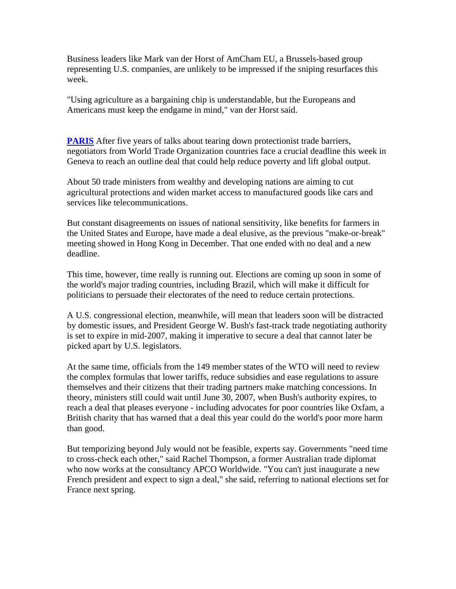Business leaders like Mark van der Horst of AmCham EU, a Brussels-based group representing U.S. companies, are unlikely to be impressed if the sniping resurfaces this week.

"Using agriculture as a bargaining chip is understandable, but the Europeans and Americans must keep the endgame in mind," van der Horst said.

**PARIS** After five years of talks about tearing down protectionist trade barriers, negotiators from World Trade Organization countries face a crucial deadline this week in Geneva to reach an outline deal that could help reduce poverty and lift global output.

About 50 trade ministers from wealthy and developing nations are aiming to cut agricultural protections and widen market access to manufactured goods like cars and services like telecommunications.

But constant disagreements on issues of national sensitivity, like benefits for farmers in the United States and Europe, have made a deal elusive, as the previous "make-or-break" meeting showed in Hong Kong in December. That one ended with no deal and a new deadline.

This time, however, time really is running out. Elections are coming up soon in some of the world's major trading countries, including Brazil, which will make it difficult for politicians to persuade their electorates of the need to reduce certain protections.

A U.S. congressional election, meanwhile, will mean that leaders soon will be distracted by domestic issues, and President George W. Bush's fast-track trade negotiating authority is set to expire in mid-2007, making it imperative to secure a deal that cannot later be picked apart by U.S. legislators.

At the same time, officials from the 149 member states of the WTO will need to review the complex formulas that lower tariffs, reduce subsidies and ease regulations to assure themselves and their citizens that their trading partners make matching concessions. In theory, ministers still could wait until June 30, 2007, when Bush's authority expires, to reach a deal that pleases everyone - including advocates for poor countries like Oxfam, a British charity that has warned that a deal this year could do the world's poor more harm than good.

But temporizing beyond July would not be feasible, experts say. Governments "need time to cross-check each other," said Rachel Thompson, a former Australian trade diplomat who now works at the consultancy APCO Worldwide. "You can't just inaugurate a new French president and expect to sign a deal," she said, referring to national elections set for France next spring.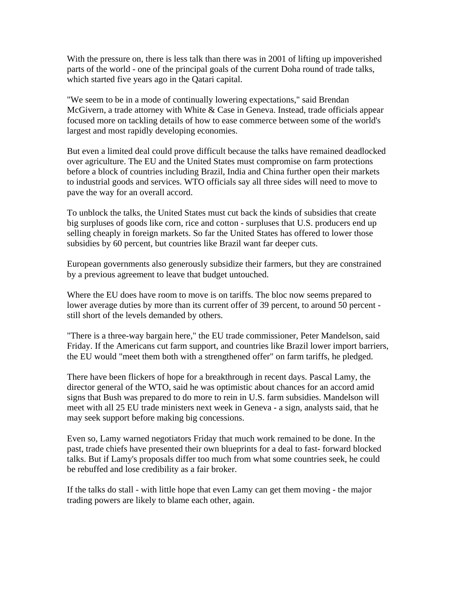With the pressure on, there is less talk than there was in 2001 of lifting up impoverished parts of the world - one of the principal goals of the current Doha round of trade talks, which started five years ago in the Qatari capital.

"We seem to be in a mode of continually lowering expectations," said Brendan McGivern, a trade attorney with White & Case in Geneva. Instead, trade officials appear focused more on tackling details of how to ease commerce between some of the world's largest and most rapidly developing economies.

But even a limited deal could prove difficult because the talks have remained deadlocked over agriculture. The EU and the United States must compromise on farm protections before a block of countries including Brazil, India and China further open their markets to industrial goods and services. WTO officials say all three sides will need to move to pave the way for an overall accord.

To unblock the talks, the United States must cut back the kinds of subsidies that create big surpluses of goods like corn, rice and cotton - surpluses that U.S. producers end up selling cheaply in foreign markets. So far the United States has offered to lower those subsidies by 60 percent, but countries like Brazil want far deeper cuts.

European governments also generously subsidize their farmers, but they are constrained by a previous agreement to leave that budget untouched.

Where the EU does have room to move is on tariffs. The bloc now seems prepared to lower average duties by more than its current offer of 39 percent, to around 50 percent still short of the levels demanded by others.

"There is a three-way bargain here," the EU trade commissioner, Peter Mandelson, said Friday. If the Americans cut farm support, and countries like Brazil lower import barriers, the EU would "meet them both with a strengthened offer" on farm tariffs, he pledged.

There have been flickers of hope for a breakthrough in recent days. Pascal Lamy, the director general of the WTO, said he was optimistic about chances for an accord amid signs that Bush was prepared to do more to rein in U.S. farm subsidies. Mandelson will meet with all 25 EU trade ministers next week in Geneva - a sign, analysts said, that he may seek support before making big concessions.

Even so, Lamy warned negotiators Friday that much work remained to be done. In the past, trade chiefs have presented their own blueprints for a deal to fast- forward blocked talks. But if Lamy's proposals differ too much from what some countries seek, he could be rebuffed and lose credibility as a fair broker.

If the talks do stall - with little hope that even Lamy can get them moving - the major trading powers are likely to blame each other, again.